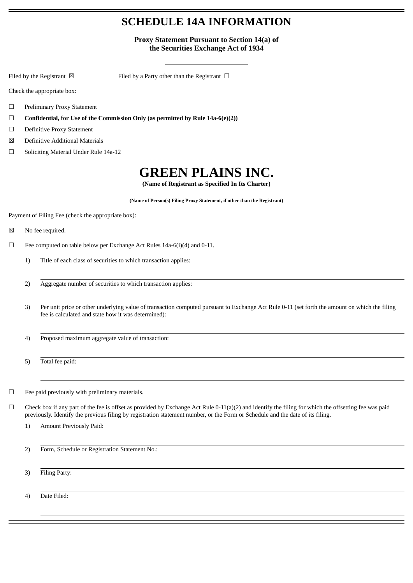## **SCHEDULE 14A INFORMATION**

**Proxy Statement Pursuant to Section 14(a) of the Securities Exchange Act of 1934**

Filed by the Registrant  $\boxtimes$  Filed by a Party other than the Registrant  $\Box$ 

Check the appropriate box:

- ☐ Preliminary Proxy Statement
- ☐ **Confidential, for Use of the Commission Only (as permitted by Rule 14a-6(e)(2))**
- ☐ Definitive Proxy Statement
- ☒ Definitive Additional Materials
- ☐ Soliciting Material Under Rule 14a-12

# **GREEN PLAINS INC.**

**(Name of Registrant as Specified In Its Charter)**

**(Name of Person(s) Filing Proxy Statement, if other than the Registrant)**

Payment of Filing Fee (check the appropriate box):

- ☒ No fee required.
- ☐ Fee computed on table below per Exchange Act Rules 14a-6(i)(4) and 0-11.
	- 1) Title of each class of securities to which transaction applies:
		- 2) Aggregate number of securities to which transaction applies:
		- 3) Per unit price or other underlying value of transaction computed pursuant to Exchange Act Rule 0-11 (set forth the amount on which the filing fee is calculated and state how it was determined):
		- 4) Proposed maximum aggregate value of transaction:
		- 5) Total fee paid:

 $\Box$  Fee paid previously with preliminary materials.

- $\Box$  Check box if any part of the fee is offset as provided by Exchange Act Rule 0-11(a)(2) and identify the filing for which the offsetting fee was paid previously. Identify the previous filing by registration statement number, or the Form or Schedule and the date of its filing.
	- 1) Amount Previously Paid:

2) Form, Schedule or Registration Statement No.:

3) Filing Party:

4) Date Filed: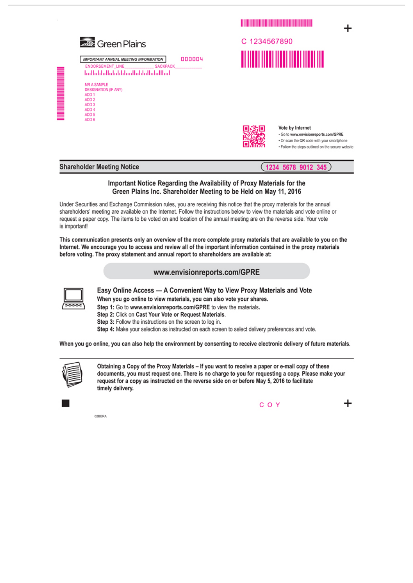

#### Vote by Internet

 $(1234 5678 9012 345)$ 

. Go to www.envisionreports.com/GPRE . Or scan the QR code with your smartphone . Follow the steps outlined on the secure website

╇

### **Shareholder Meeting Notice**

# Important Notice Regarding the Availability of Proxy Materials for the

### Green Plains Inc. Shareholder Meeting to be Held on May 11, 2016

Under Securities and Exchange Commission rules, you are receiving this notice that the proxy materials for the annual shareholders' meeting are available on the Internet. Follow the instructions below to view the materials and vote online or request a paper copy. The items to be voted on and location of the annual meeting are on the reverse side. Your vote is important!

This communication presents only an overview of the more complete proxy materials that are available to you on the Internet. We encourage you to access and review all of the important information contained in the proxy materials before voting. The proxy statement and annual report to shareholders are available at:

### www.envisionreports.com/GPRE



Easy Online Access - A Convenient Way to View Proxy Materials and Vote

When you go online to view materials, you can also vote your shares.

Step 1: Go to www.envisionreports.com/GPRE to view the materials.

- Step 2: Click on Cast Your Vote or Request Materials.
- Step 3: Follow the instructions on the screen to log in.

Step 4: Make your selection as instructed on each screen to select delivery preferences and vote.

When you go online, you can also help the environment by consenting to receive electronic delivery of future materials.



Obtaining a Copy of the Proxy Materials - If you want to receive a paper or e-mail copy of these documents, you must request one. There is no charge to you for requesting a copy. Please make your request for a copy as instructed on the reverse side on or before May 5, 2016 to facilitate timely delivery.

02BERA

COY

╈